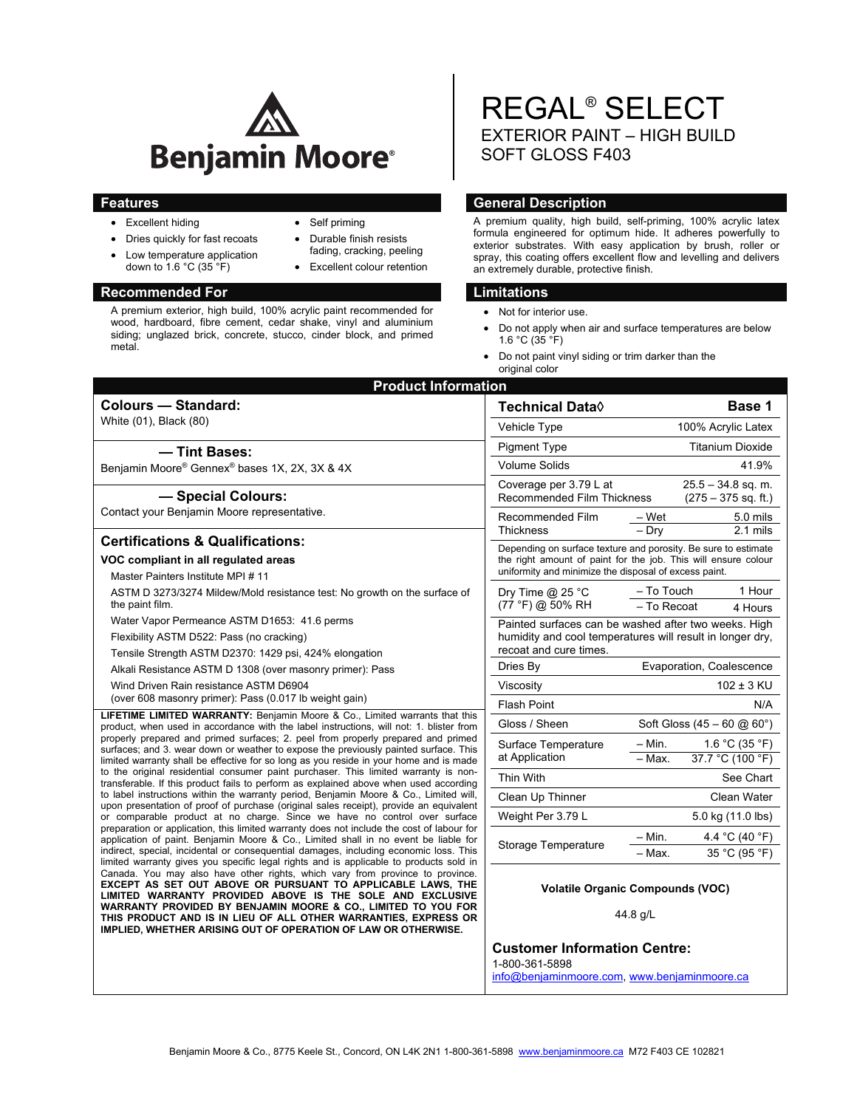

- Excellent hiding
- Self priming
- Durable finish resists fading, cracking, peeling
- Excellent colour retention

## **Recommended For Limitations and Limitations**

 Dries quickly for fast recoats Low temperature application down to 1.6 °C (35 °F)

A premium exterior, high build, 100% acrylic paint recommended for wood, hardboard, fibre cement, cedar shake, vinyl and aluminium siding; unglazed brick, concrete, stucco, cinder block, and primed metal.

REGAL® SELECT EXTERIOR PAINT – HIGH BUILD SOFT GLOSS F403

## **Features General Description Contract Contract Description Contract Contract Description**

A premium quality, high build, self-priming, 100% acrylic latex formula engineered for optimum hide. It adheres powerfully to exterior substrates. With easy application by brush, roller or spray, this coating offers excellent flow and levelling and delivers an extremely durable, protective finish.

- Not for interior use.
- Do not apply when air and surface temperatures are below 1.6 °C (35 °F)
- Do not paint vinyl siding or trim darker than the original color

| <b>Product Information</b>                                                                                                                                                                                                                                                                                                                                                                                                                                                                                                                                                                                                                                                                        |                                                                                                                                                  |                                               |  |
|---------------------------------------------------------------------------------------------------------------------------------------------------------------------------------------------------------------------------------------------------------------------------------------------------------------------------------------------------------------------------------------------------------------------------------------------------------------------------------------------------------------------------------------------------------------------------------------------------------------------------------------------------------------------------------------------------|--------------------------------------------------------------------------------------------------------------------------------------------------|-----------------------------------------------|--|
| <b>Colours - Standard:</b>                                                                                                                                                                                                                                                                                                                                                                                                                                                                                                                                                                                                                                                                        | <b>Technical Data</b> ♦                                                                                                                          | Base 1                                        |  |
| White (01), Black (80)                                                                                                                                                                                                                                                                                                                                                                                                                                                                                                                                                                                                                                                                            | Vehicle Type                                                                                                                                     | 100% Acrylic Latex                            |  |
| - Tint Bases:                                                                                                                                                                                                                                                                                                                                                                                                                                                                                                                                                                                                                                                                                     | <b>Pigment Type</b>                                                                                                                              | <b>Titanium Dioxide</b>                       |  |
| Benjamin Moore® Gennex® bases 1X, 2X, 3X & 4X                                                                                                                                                                                                                                                                                                                                                                                                                                                                                                                                                                                                                                                     | Volume Solids                                                                                                                                    | 41.9%                                         |  |
| - Special Colours:<br>Contact your Benjamin Moore representative.                                                                                                                                                                                                                                                                                                                                                                                                                                                                                                                                                                                                                                 | Coverage per 3.79 L at<br><b>Recommended Film Thickness</b>                                                                                      | $25.5 - 34.8$ sq. m.<br>$(275 - 375$ sq. ft.) |  |
|                                                                                                                                                                                                                                                                                                                                                                                                                                                                                                                                                                                                                                                                                                   | Recommended Film<br><b>Thickness</b>                                                                                                             | – Wet<br>5.0 mils<br>$-$ Dry<br>2.1 mils      |  |
| <b>Certifications &amp; Qualifications:</b>                                                                                                                                                                                                                                                                                                                                                                                                                                                                                                                                                                                                                                                       | Depending on surface texture and porosity. Be sure to estimate                                                                                   |                                               |  |
| VOC compliant in all regulated areas                                                                                                                                                                                                                                                                                                                                                                                                                                                                                                                                                                                                                                                              | the right amount of paint for the job. This will ensure colour<br>uniformity and minimize the disposal of excess paint.                          |                                               |  |
| Master Painters Institute MPI #11                                                                                                                                                                                                                                                                                                                                                                                                                                                                                                                                                                                                                                                                 |                                                                                                                                                  |                                               |  |
| ASTM D 3273/3274 Mildew/Mold resistance test: No growth on the surface of<br>the paint film.                                                                                                                                                                                                                                                                                                                                                                                                                                                                                                                                                                                                      | - To Touch<br>1 Hour<br>Dry Time $@$ 25 °C<br>(77 °F) @ 50% RH<br>- To Recoat<br>4 Hours<br>Painted surfaces can be washed after two weeks. High |                                               |  |
| Water Vapor Permeance ASTM D1653: 41.6 perms                                                                                                                                                                                                                                                                                                                                                                                                                                                                                                                                                                                                                                                      |                                                                                                                                                  |                                               |  |
| Flexibility ASTM D522: Pass (no cracking)                                                                                                                                                                                                                                                                                                                                                                                                                                                                                                                                                                                                                                                         | humidity and cool temperatures will result in longer dry,<br>recoat and cure times.                                                              |                                               |  |
| Tensile Strength ASTM D2370: 1429 psi, 424% elongation                                                                                                                                                                                                                                                                                                                                                                                                                                                                                                                                                                                                                                            |                                                                                                                                                  |                                               |  |
| Alkali Resistance ASTM D 1308 (over masonry primer): Pass                                                                                                                                                                                                                                                                                                                                                                                                                                                                                                                                                                                                                                         | Dries By                                                                                                                                         | Evaporation, Coalescence                      |  |
| Wind Driven Rain resistance ASTM D6904                                                                                                                                                                                                                                                                                                                                                                                                                                                                                                                                                                                                                                                            | Viscosity                                                                                                                                        | $102 \pm 3$ KU                                |  |
| (over 608 masonry primer): Pass (0.017 lb weight gain)<br><b>LIFETIME LIMITED WARRANTY: Benjamin Moore &amp; Co., Limited warrants that this</b><br>product, when used in accordance with the label instructions, will not: 1. blister from<br>properly prepared and primed surfaces; 2. peel from properly prepared and primed<br>surfaces; and 3. wear down or weather to expose the previously painted surface. This<br>limited warranty shall be effective for so long as you reside in your home and is made<br>to the original residential consumer paint purchaser. This limited warranty is non-<br>transferable. If this product fails to perform as explained above when used according | <b>Flash Point</b>                                                                                                                               | N/A                                           |  |
|                                                                                                                                                                                                                                                                                                                                                                                                                                                                                                                                                                                                                                                                                                   | Gloss / Sheen                                                                                                                                    | Soft Gloss $(45 - 60 \text{ @ } 60^{\circ})$  |  |
|                                                                                                                                                                                                                                                                                                                                                                                                                                                                                                                                                                                                                                                                                                   | Surface Temperature<br>at Application                                                                                                            | $-$ Min.<br>1.6 °C (35 °F)                    |  |
|                                                                                                                                                                                                                                                                                                                                                                                                                                                                                                                                                                                                                                                                                                   |                                                                                                                                                  | 37.7 °C (100 °F)<br>- Max.                    |  |
|                                                                                                                                                                                                                                                                                                                                                                                                                                                                                                                                                                                                                                                                                                   | Thin With                                                                                                                                        | See Chart                                     |  |
| to label instructions within the warranty period, Benjamin Moore & Co., Limited will,<br>upon presentation of proof of purchase (original sales receipt), provide an equivalent                                                                                                                                                                                                                                                                                                                                                                                                                                                                                                                   | Clean Up Thinner                                                                                                                                 | Clean Water                                   |  |
| or comparable product at no charge. Since we have no control over surface                                                                                                                                                                                                                                                                                                                                                                                                                                                                                                                                                                                                                         | Weight Per 3.79 L                                                                                                                                | 5.0 kg (11.0 lbs)                             |  |
| preparation or application, this limited warranty does not include the cost of labour for<br>application of paint. Benjamin Moore & Co., Limited shall in no event be liable for                                                                                                                                                                                                                                                                                                                                                                                                                                                                                                                  | Storage Temperature                                                                                                                              | $-$ Min.<br>4.4 °C (40 °F)                    |  |
| indirect, special, incidental or consequential damages, including economic loss. This<br>limited warranty gives you specific legal rights and is applicable to products sold in                                                                                                                                                                                                                                                                                                                                                                                                                                                                                                                   |                                                                                                                                                  | - Max.<br>35 °C (95 °F)                       |  |
| Canada. You may also have other rights, which vary from province to province.<br>EXCEPT AS SET OUT ABOVE OR PURSUANT TO APPLICABLE LAWS, THE<br>LIMITED WARRANTY PROVIDED ABOVE IS THE SOLE AND EXCLUSIVE<br>WARRANTY PROVIDED BY BENJAMIN MOORE & CO., LIMITED TO YOU FOR<br>THIS PRODUCT AND IS IN LIEU OF ALL OTHER WARRANTIES, EXPRESS OR<br>IMPLIED, WHETHER ARISING OUT OF OPERATION OF LAW OR OTHERWISE.                                                                                                                                                                                                                                                                                   | <b>Volatile Organic Compounds (VOC)</b><br>44.8 g/L                                                                                              |                                               |  |
|                                                                                                                                                                                                                                                                                                                                                                                                                                                                                                                                                                                                                                                                                                   | <b>Customer Information Centre:</b><br>1-800-361-5898<br>info@benjaminmoore.com, www.benjaminmoore.ca                                            |                                               |  |